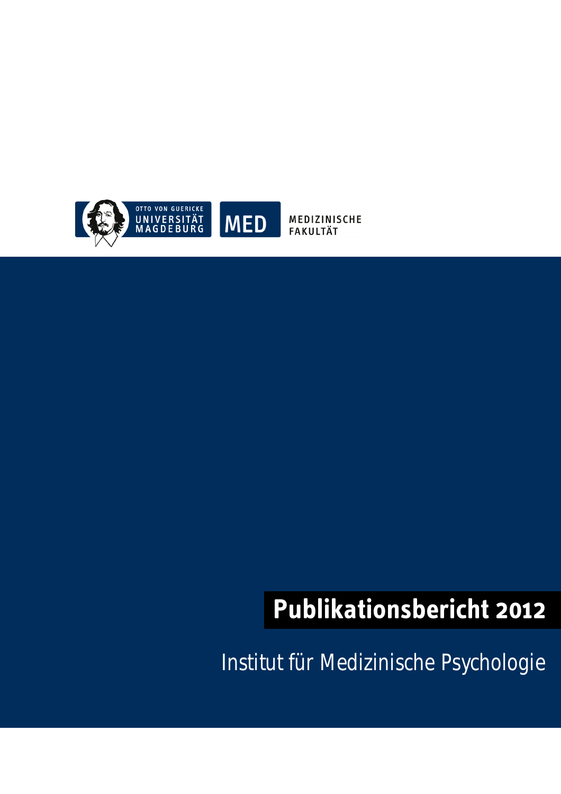

MEDIZINISCHE **FAKULTÄT** 

# **Publikationsbericht 2012**

Institut für Medizinische Psychologie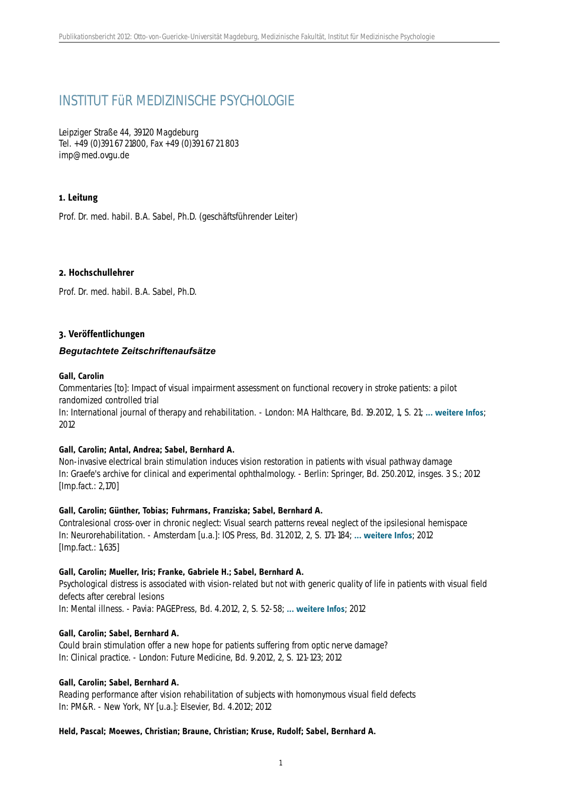# INSTITUT FüR MEDIZINISCHE PSYCHOLOGIE

Leipziger Straße 44, 39120 Magdeburg Tel. +49 (0)391 67 21800, Fax +49 (0)391 67 21 803 imp@med.ovgu.de

## **1. Leitung**

Prof. Dr. med. habil. B.A. Sabel, Ph.D. (geschäftsführender Leiter)

#### **2. Hochschullehrer**

Prof. Dr. med. habil. B.A. Sabel, Ph.D.

### **3. Veröffentlichungen**

### *Begutachtete Zeitschriftenaufsätze*

#### **Gall, Carolin**

Commentaries [to]: Impact of visual impairment assessment on functional recovery in stroke patients: a pilot randomized controlled trial

In: International journal of therapy and rehabilitation. - London: MA Halthcare, Bd. 19.2012, 1, S. 21; **[... weitere Infos](http://www.ijtr.co.uk/cgi-bin/go.pl/library/contents.html?uid=4278;journal_uid=16)**; 2012

#### **Gall, Carolin; Antal, Andrea; Sabel, Bernhard A.**

Non-invasive electrical brain stimulation induces vision restoration in patients with visual pathway damage In: Graefe's archive for clinical and experimental ophthalmology. - Berlin: Springer, Bd. 250.2012, insges. 3 S.; 2012 [Imp.fact.: 2,170]

#### **Gall, Carolin; Günther, Tobias; Fuhrmans, Franziska; Sabel, Bernhard A.**

Contralesional cross-over in chronic neglect: Visual search patterns reveal neglect of the ipsilesional hemispace In: Neurorehabilitation. - Amsterdam [u.a.]: IOS Press, Bd. 31.2012, 2, S. 171-184; **[... weitere Infos](http://iospress.metapress.com/content/k16l43p118801573/?p=c17ebc07784a45cfb2f1eb53eb01164f&pi=9)**; 2012 [Imp.fact.: 1,635]

#### **Gall, Carolin; Mueller, Iris; Franke, Gabriele H.; Sabel, Bernhard A.**

Psychological distress is associated with vision-related but not with generic quality of life in patients with visual field defects after cerebral lesions

In: Mental illness. - Pavia: PAGEPress, Bd. 4.2012, 2, S. 52-58; **[... weitere Infos](http://www.pagepress.org/journals/index.php/mi/article/view/mi.2012.e12)**; 2012

#### **Gall, Carolin; Sabel, Bernhard A.**

Could brain stimulation offer a new hope for patients suffering from optic nerve damage? In: Clinical practice. - London: Future Medicine, Bd. 9.2012, 2, S. 121-123; 2012

#### **Gall, Carolin; Sabel, Bernhard A.**

Reading performance after vision rehabilitation of subjects with homonymous visual field defects In: PM&R. - New York, NY [u.a.]: Elsevier, Bd. 4.2012; 2012

#### **Held, Pascal; Moewes, Christian; Braune, Christian; Kruse, Rudolf; Sabel, Bernhard A.**